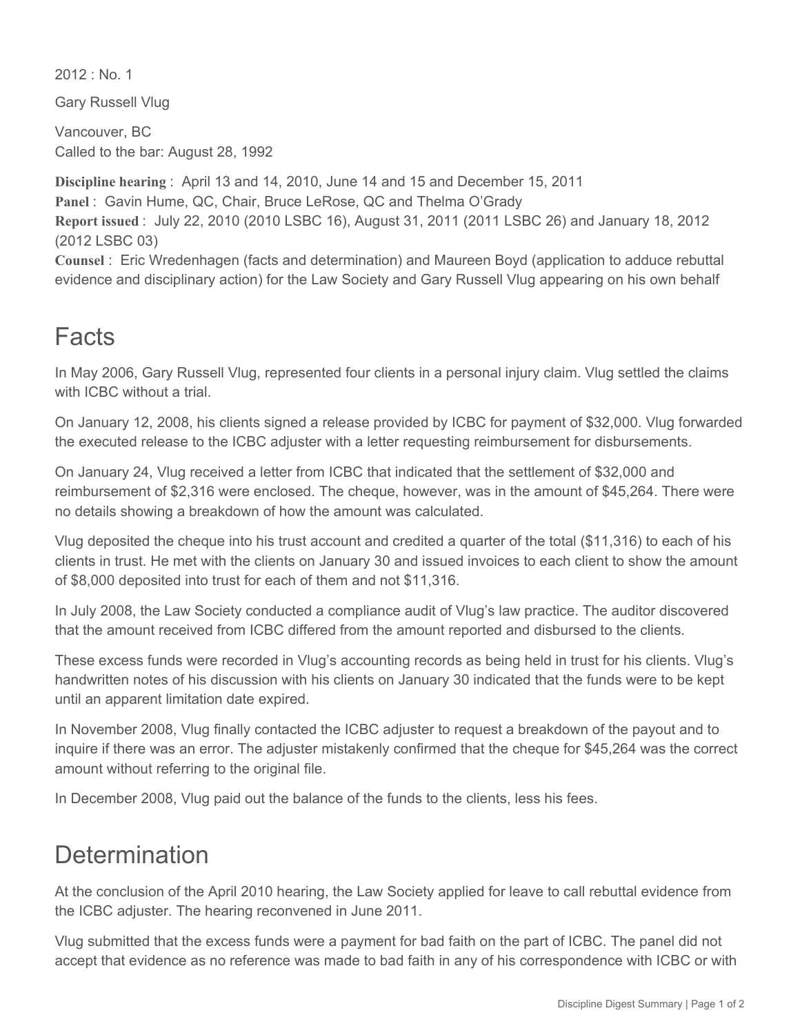$2012 \cdot$  No. 1

Gary Russell Vlug

Vancouver, BC Called to the bar: August 28, 1992

**Discipline hearing** : April 13 and 14, 2010, June 14 and 15 and December 15, 2011 Panel: Gavin Hume, QC, Chair, Bruce LeRose, QC and Thelma O'Grady **Report issued** : July 22, 2010 (2010 LSBC 16), August 31, 2011 (2011 LSBC 26) and January 18, 2012 (2012 LSBC 03)

**Counsel** : Eric Wredenhagen (facts and determination) and Maureen Boyd (application to adduce rebuttal evidence and disciplinary action) for the Law Society and Gary Russell Vlug appearing on his own behalf

## Facts

In May 2006, Gary Russell Vlug, represented four clients in a personal injury claim. Vlug settled the claims with ICBC without a trial.

On January 12, 2008, his clients signed a release provided by ICBC for payment of \$32,000. Vlug forwarded the executed release to the ICBC adjuster with a letter requesting reimbursement for disbursements.

On January 24, Vlug received a letter from ICBC that indicated that the settlement of \$32,000 and reimbursement of \$2,316 were enclosed. The cheque, however, was in the amount of \$45,264. There were no details showing a breakdown of how the amount was calculated.

Vlug deposited the cheque into his trust account and credited a quarter of the total (\$11,316) to each of his clients in trust. He met with the clients on January 30 and issued invoices to each client to show the amount of \$8,000 deposited into trust for each of them and not \$11,316.

In July 2008, the Law Society conducted a compliance audit of Vlug's law practice. The auditor discovered that the amount received from ICBC differed from the amount reported and disbursed to the clients.

These excess funds were recorded in Vlug's accounting records as being held in trust for his clients. Vlug's handwritten notes of his discussion with his clients on January 30 indicated that the funds were to be kept until an apparent limitation date expired.

In November 2008, Vlug finally contacted the ICBC adjuster to request a breakdown of the payout and to inquire if there was an error. The adjuster mistakenly confirmed that the cheque for \$45,264 was the correct amount without referring to the original file.

In December 2008, Vlug paid out the balance of the funds to the clients, less his fees.

## **Determination**

At the conclusion of the April 2010 hearing, the Law Society applied for leave to call rebuttal evidence from the ICBC adjuster. The hearing reconvened in June 2011.

Vlug submitted that the excess funds were a payment for bad faith on the part of ICBC. The panel did not accept that evidence as no reference was made to bad faith in any of his correspondence with ICBC or with